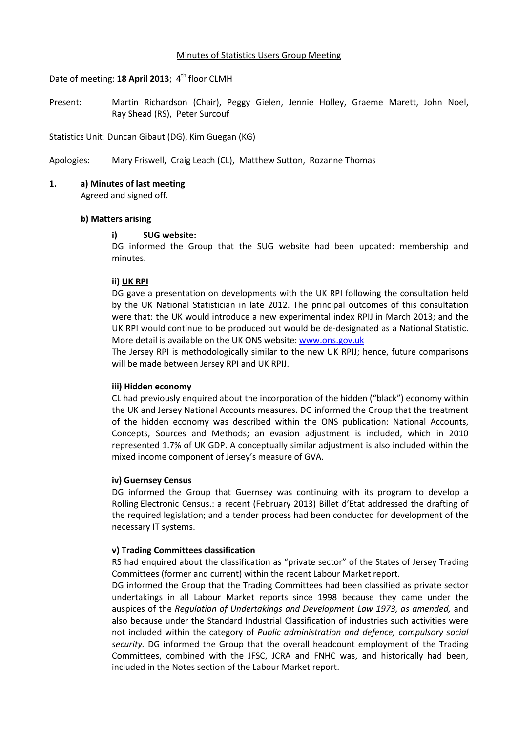# Date of meeting: 18 April 2013; 4<sup>th</sup> floor CLMH

Present: Martin Richardson (Chair), Peggy Gielen, Jennie Holley, Graeme Marett, John Noel, Ray Shead (RS), Peter Surcouf

Statistics Unit: Duncan Gibaut (DG), Kim Guegan (KG)

Apologies: Mary Friswell, Craig Leach (CL), Matthew Sutton, Rozanne Thomas

# **1. a) Minutes of last meeting**

Agreed and signed off.

#### **b) Matters arising**

# **i) SUG website:**

DG informed the Group that the SUG website had been updated: membership and minutes.

# **ii) UK RPI**

DG gave a presentation on developments with the UK RPI following the consultation held by the UK National Statistician in late 2012. The principal outcomes of this consultation were that: the UK would introduce a new experimental index RPIJ in March 2013; and the UK RPI would continue to be produced but would be de-designated as a National Statistic. More detail is available on the UK ONS website: [www.ons.gov.uk](http://www.ons.gov.uk/)

The Jersey RPI is methodologically similar to the new UK RPIJ; hence, future comparisons will be made between Jersey RPI and UK RPIJ.

#### **iii) Hidden economy**

CL had previously enquired about the incorporation of the hidden ("black") economy within the UK and Jersey National Accounts measures. DG informed the Group that the treatment of the hidden economy was described within the ONS publication: National Accounts, Concepts, Sources and Methods; an evasion adjustment is included, which in 2010 represented 1.7% of UK GDP. A conceptually similar adjustment is also included within the mixed income component of Jersey's measure of GVA.

#### **iv) Guernsey Census**

DG informed the Group that Guernsey was continuing with its program to develop a Rolling Electronic Census.: a recent (February 2013) Billet d'Etat addressed the drafting of the required legislation; and a tender process had been conducted for development of the necessary IT systems.

#### **v) Trading Committees classification**

RS had enquired about the classification as "private sector" of the States of Jersey Trading Committees (former and current) within the recent Labour Market report.

DG informed the Group that the Trading Committees had been classified as private sector undertakings in all Labour Market reports since 1998 because they came under the auspices of the *Regulation of Undertakings and Development Law 1973, as amended,* and also because under the Standard Industrial Classification of industries such activities were not included within the category of *Public administration and defence, compulsory social security.* DG informed the Group that the overall headcount employment of the Trading Committees, combined with the JFSC, JCRA and FNHC was, and historically had been, included in the Notes section of the Labour Market report.